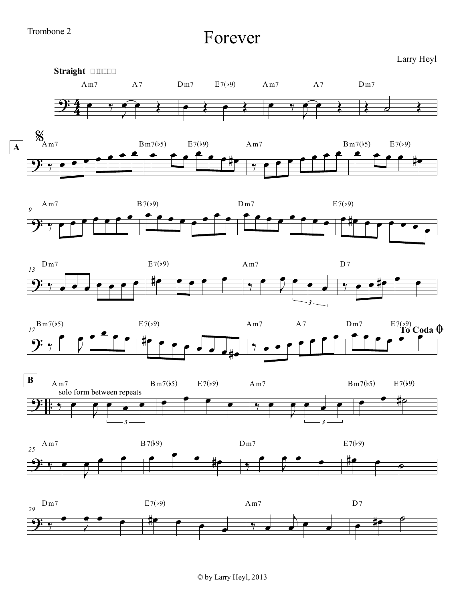Forever

Larry Heyl